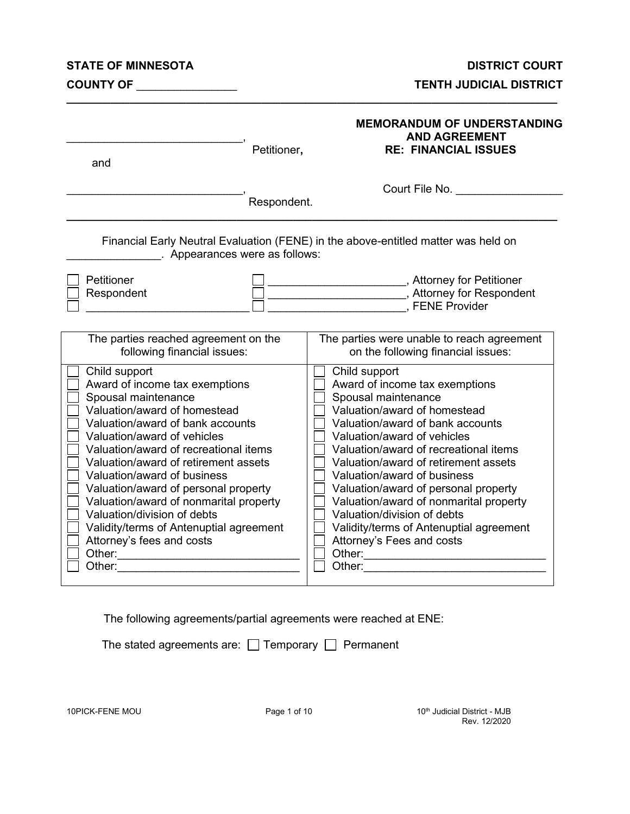#### **STATE OF MINNESOTA DISTRICT COURT**

**COUNTY OF** \_\_\_\_\_\_\_\_\_\_\_\_\_\_\_\_ **TENTH JUDICIAL DISTRICT**

| and                                                                                                                                                                                                                                                                                                                                                                                                                                                                                          | Petitioner, | <b>MEMORANDUM OF UNDERSTANDING</b><br><b>AND AGREEMENT</b><br><b>RE: FINANCIAL ISSUES</b>                                                                                                                                                                                                                                                                                                                                                                                                    |
|----------------------------------------------------------------------------------------------------------------------------------------------------------------------------------------------------------------------------------------------------------------------------------------------------------------------------------------------------------------------------------------------------------------------------------------------------------------------------------------------|-------------|----------------------------------------------------------------------------------------------------------------------------------------------------------------------------------------------------------------------------------------------------------------------------------------------------------------------------------------------------------------------------------------------------------------------------------------------------------------------------------------------|
|                                                                                                                                                                                                                                                                                                                                                                                                                                                                                              | Respondent. | Court File No.                                                                                                                                                                                                                                                                                                                                                                                                                                                                               |
| . Appearances were as follows:                                                                                                                                                                                                                                                                                                                                                                                                                                                               |             | Financial Early Neutral Evaluation (FENE) in the above-entitled matter was held on                                                                                                                                                                                                                                                                                                                                                                                                           |
| Petitioner<br>Respondent                                                                                                                                                                                                                                                                                                                                                                                                                                                                     |             | ____________________________, Attorney for Petitioner<br>Attorney for Respondent (3)<br><b>EXELO Provider</b> , FENE Provider                                                                                                                                                                                                                                                                                                                                                                |
| The parties reached agreement on the<br>following financial issues:                                                                                                                                                                                                                                                                                                                                                                                                                          |             | The parties were unable to reach agreement<br>on the following financial issues:                                                                                                                                                                                                                                                                                                                                                                                                             |
| Child support<br>Award of income tax exemptions<br>Spousal maintenance<br>Valuation/award of homestead<br>Valuation/award of bank accounts<br>Valuation/award of vehicles<br>Valuation/award of recreational items<br>Valuation/award of retirement assets<br>Valuation/award of business<br>Valuation/award of personal property<br>Valuation/award of nonmarital property<br>Valuation/division of debts<br>Validity/terms of Antenuptial agreement<br>Attorney's fees and costs<br>Other: |             | Child support<br>Award of income tax exemptions<br>Spousal maintenance<br>Valuation/award of homestead<br>Valuation/award of bank accounts<br>Valuation/award of vehicles<br>Valuation/award of recreational items<br>Valuation/award of retirement assets<br>Valuation/award of business<br>Valuation/award of personal property<br>Valuation/award of nonmarital property<br>Valuation/division of debts<br>Validity/terms of Antenuptial agreement<br>Attorney's Fees and costs<br>Other: |

The following agreements/partial agreements were reached at ENE:

The stated agreements are:  $\Box$  Temporary  $\Box$  Permanent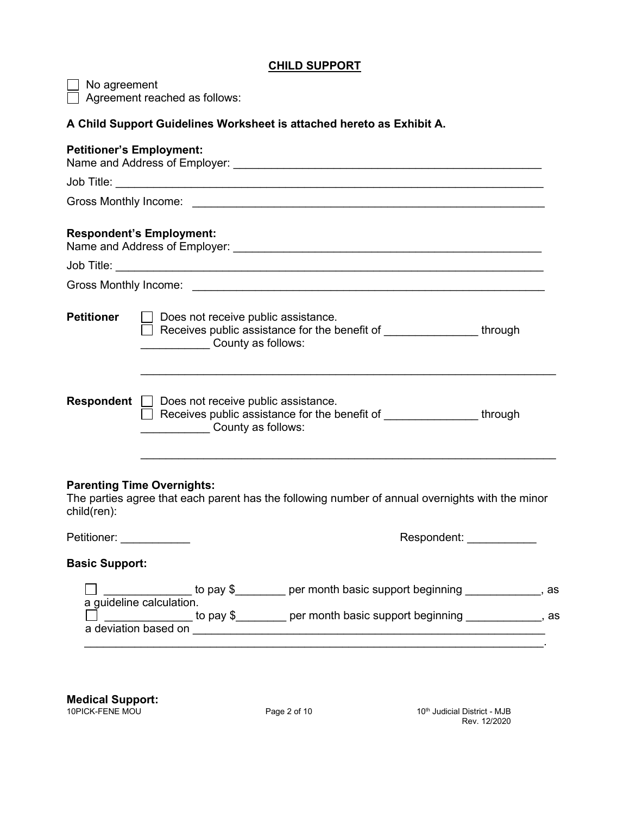# **CHILD SUPPORT**

| No agreement                    | Agreement reached as follows:                                                                                                                                                                                                     |
|---------------------------------|-----------------------------------------------------------------------------------------------------------------------------------------------------------------------------------------------------------------------------------|
|                                 | A Child Support Guidelines Worksheet is attached hereto as Exhibit A.                                                                                                                                                             |
| <b>Petitioner's Employment:</b> |                                                                                                                                                                                                                                   |
|                                 |                                                                                                                                                                                                                                   |
|                                 |                                                                                                                                                                                                                                   |
|                                 | <b>Respondent's Employment:</b>                                                                                                                                                                                                   |
|                                 |                                                                                                                                                                                                                                   |
|                                 |                                                                                                                                                                                                                                   |
| <b>Petitioner</b>               | Does not receive public assistance.<br>Receives public assistance for the benefit of _________________ through<br>County as follows:                                                                                              |
| <b>Respondent</b>               | $\Box$ Does not receive public assistance.<br>Receives public assistance for the benefit of _________________ through<br><b>County as follows:</b>                                                                                |
| child(ren):                     | <b>Parenting Time Overnights:</b><br>The parties agree that each parent has the following number of annual overnights with the minor                                                                                              |
| Petitioner: _____________       | Respondent: ____________                                                                                                                                                                                                          |
| <b>Basic Support:</b>           |                                                                                                                                                                                                                                   |
|                                 | □ ______________ to pay \$________ per month basic support beginning ____________, as<br>a guideline calculation.<br>_______________ to pay \$________ per month basic support beginning ____________, as<br>a deviation based on |
|                                 |                                                                                                                                                                                                                                   |

**Medical Support:**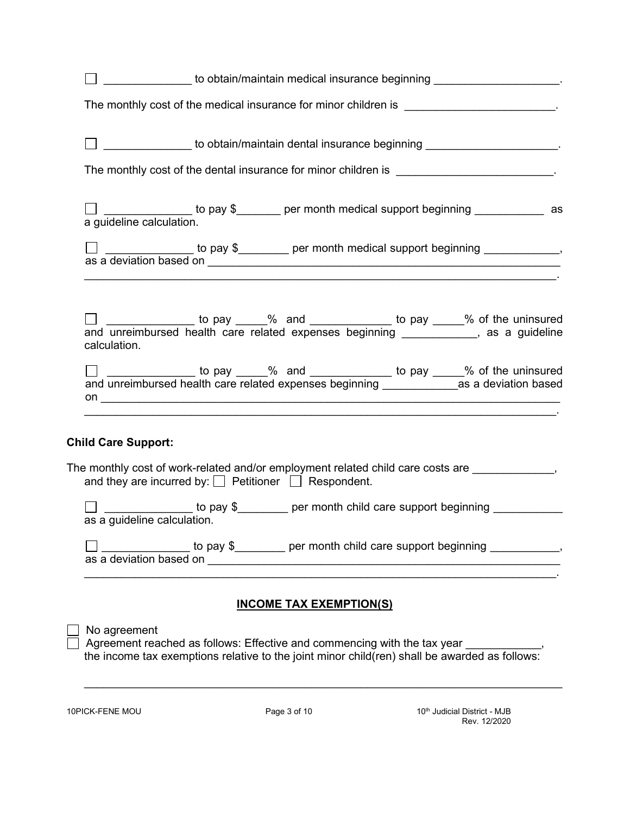| to obtain/maintain medical insurance beginning ____________________.                                                                                                                                                                                                                                                                                                                                                                                                                                                                          |
|-----------------------------------------------------------------------------------------------------------------------------------------------------------------------------------------------------------------------------------------------------------------------------------------------------------------------------------------------------------------------------------------------------------------------------------------------------------------------------------------------------------------------------------------------|
| The monthly cost of the medical insurance for minor children is _______________________.                                                                                                                                                                                                                                                                                                                                                                                                                                                      |
| Later and the obtain/maintain dental insurance beginning Later and Later and Later and Later and Later and Later and Later and Later and Later and Later and Later and Later and Later and Later and Later and Later and Later                                                                                                                                                                                                                                                                                                                |
| The monthly cost of the dental insurance for minor children is ___________________________.                                                                                                                                                                                                                                                                                                                                                                                                                                                   |
| □ <u>_____________</u> to pay \$_______ per month medical support beginning ____________ as<br>a guideline calculation.                                                                                                                                                                                                                                                                                                                                                                                                                       |
| the contract of the contract of the contract of the contract of the contract of the contract of the contract of                                                                                                                                                                                                                                                                                                                                                                                                                               |
| □ _____________ to pay ____% and ____________ to pay _____% of the uninsured<br>and unreimbursed health care related expenses beginning ____________, as a guideline<br>calculation.                                                                                                                                                                                                                                                                                                                                                          |
| □ ______________ to pay ____% and ___________ to pay ____% of the uninsured<br>and unreimbursed health care related expenses beginning ___________________as a deviation based<br>on <u>the contract of the contract of the contract of the contract of the contract of the contract of the contract of the contract of the contract of the contract of the contract of the contract of the contract of the contra</u><br><u> 1989 - 1989 - 1989 - 1989 - 1989 - 1989 - 1989 - 1989 - 1989 - 1989 - 1989 - 1989 - 1989 - 1989 - 1989 - 19</u> |
| <b>Child Care Support:</b>                                                                                                                                                                                                                                                                                                                                                                                                                                                                                                                    |
| The monthly cost of work-related and/or employment related child care costs are _____________,<br>and they are incurred by: $\Box$ Petitioner $\Box$ Respondent.                                                                                                                                                                                                                                                                                                                                                                              |
| to pay \$________ per month child care support beginning _________<br>as a guideline calculation.                                                                                                                                                                                                                                                                                                                                                                                                                                             |
| _ to pay \$_________ per month child care support beginning _____________,                                                                                                                                                                                                                                                                                                                                                                                                                                                                    |
| <b>INCOME TAX EXEMPTION(S)</b>                                                                                                                                                                                                                                                                                                                                                                                                                                                                                                                |
| No agreement<br>Agreement reached as follows: Effective and commencing with the tax year<br>the income tax exemptions relative to the joint minor child(ren) shall be awarded as follows:                                                                                                                                                                                                                                                                                                                                                     |

\_\_\_\_\_\_\_\_\_\_\_\_\_\_\_\_\_\_\_\_\_\_\_\_\_\_\_\_\_\_\_\_\_\_\_\_\_\_\_\_\_\_\_\_\_\_\_\_\_\_\_\_\_\_\_\_\_\_\_\_\_\_\_\_\_\_\_\_\_\_\_\_\_\_\_\_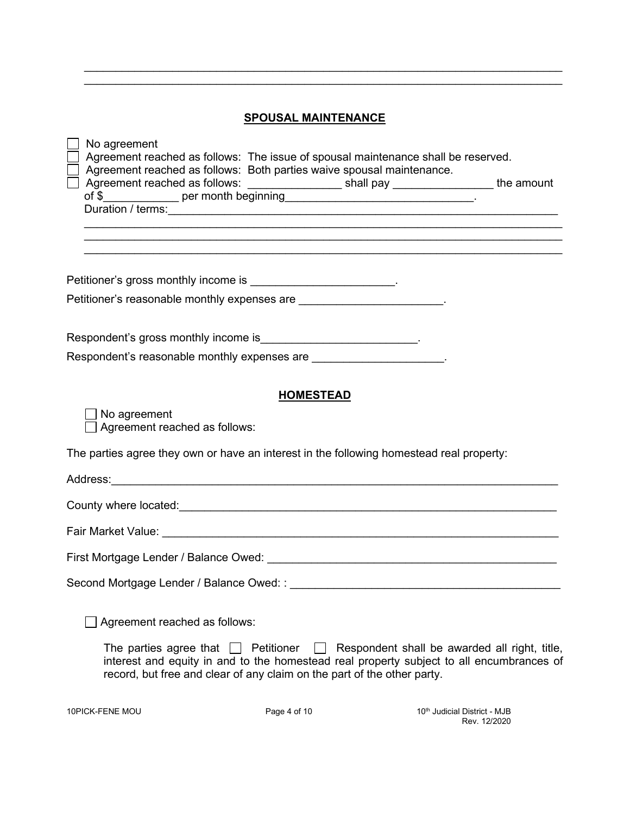|  |  | <b>SPOUSAL MAINTENANCE</b> |  |
|--|--|----------------------------|--|
|  |  |                            |  |

\_\_\_\_\_\_\_\_\_\_\_\_\_\_\_\_\_\_\_\_\_\_\_\_\_\_\_\_\_\_\_\_\_\_\_\_\_\_\_\_\_\_\_\_\_\_\_\_\_\_\_\_\_\_\_\_\_\_\_\_\_\_\_\_\_\_\_\_\_\_\_\_\_\_\_\_ \_\_\_\_\_\_\_\_\_\_\_\_\_\_\_\_\_\_\_\_\_\_\_\_\_\_\_\_\_\_\_\_\_\_\_\_\_\_\_\_\_\_\_\_\_\_\_\_\_\_\_\_\_\_\_\_\_\_\_\_\_\_\_\_\_\_\_\_\_\_\_\_\_\_\_\_

| ,我们也不能在这里的人,我们也不能在这里的人,我们也不能在这里的人,我们也不能在这里的人,我们也不能在这里的人,我们也不能在这里的人,我们也不能在这里的人,我们也                                                         |
|-------------------------------------------------------------------------------------------------------------------------------------------|
|                                                                                                                                           |
|                                                                                                                                           |
|                                                                                                                                           |
|                                                                                                                                           |
|                                                                                                                                           |
|                                                                                                                                           |
|                                                                                                                                           |
|                                                                                                                                           |
|                                                                                                                                           |
|                                                                                                                                           |
| Respondent shall be awarded all right, title,<br>interest and equity in and to the homestead real property subject to all encumbrances of |
|                                                                                                                                           |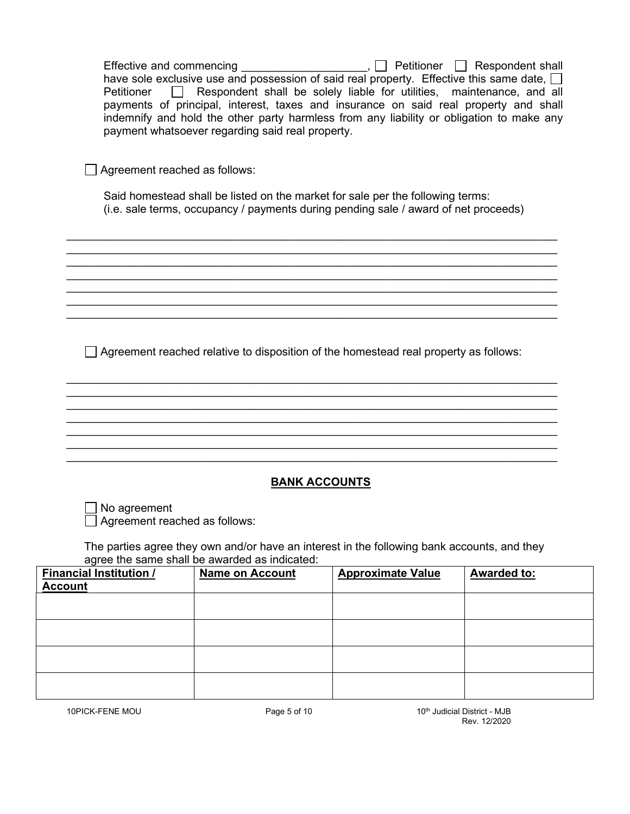| Petitioner                                       | payment whatsoever regarding said real property.                                     | Respondent shall be solely liable for utilities, maintenance, and all<br>payments of principal, interest, taxes and insurance on said real property and shall<br>indemnify and hold the other party harmless from any liability or obligation to make any |                    |  |  |
|--------------------------------------------------|--------------------------------------------------------------------------------------|-----------------------------------------------------------------------------------------------------------------------------------------------------------------------------------------------------------------------------------------------------------|--------------------|--|--|
| Agreement reached as follows:                    |                                                                                      |                                                                                                                                                                                                                                                           |                    |  |  |
|                                                  |                                                                                      | Said homestead shall be listed on the market for sale per the following terms:<br>(i.e. sale terms, occupancy / payments during pending sale / award of net proceeds)                                                                                     |                    |  |  |
|                                                  |                                                                                      |                                                                                                                                                                                                                                                           |                    |  |  |
|                                                  |                                                                                      |                                                                                                                                                                                                                                                           |                    |  |  |
|                                                  | Agreement reached relative to disposition of the homestead real property as follows: |                                                                                                                                                                                                                                                           |                    |  |  |
|                                                  |                                                                                      |                                                                                                                                                                                                                                                           |                    |  |  |
|                                                  |                                                                                      |                                                                                                                                                                                                                                                           |                    |  |  |
|                                                  | <b>BANK ACCOUNTS</b>                                                                 |                                                                                                                                                                                                                                                           |                    |  |  |
| No agreement<br>Agreement reached as follows:    |                                                                                      |                                                                                                                                                                                                                                                           |                    |  |  |
|                                                  | agree the same shall be awarded as indicated:                                        | The parties agree they own and/or have an interest in the following bank accounts, and they                                                                                                                                                               |                    |  |  |
| <b>Financial Institution /</b><br><u>Account</u> | <b>Name on Account</b>                                                               | <b>Approximate Value</b>                                                                                                                                                                                                                                  | <b>Awarded to:</b> |  |  |
|                                                  |                                                                                      |                                                                                                                                                                                                                                                           |                    |  |  |
|                                                  |                                                                                      |                                                                                                                                                                                                                                                           |                    |  |  |
|                                                  |                                                                                      |                                                                                                                                                                                                                                                           |                    |  |  |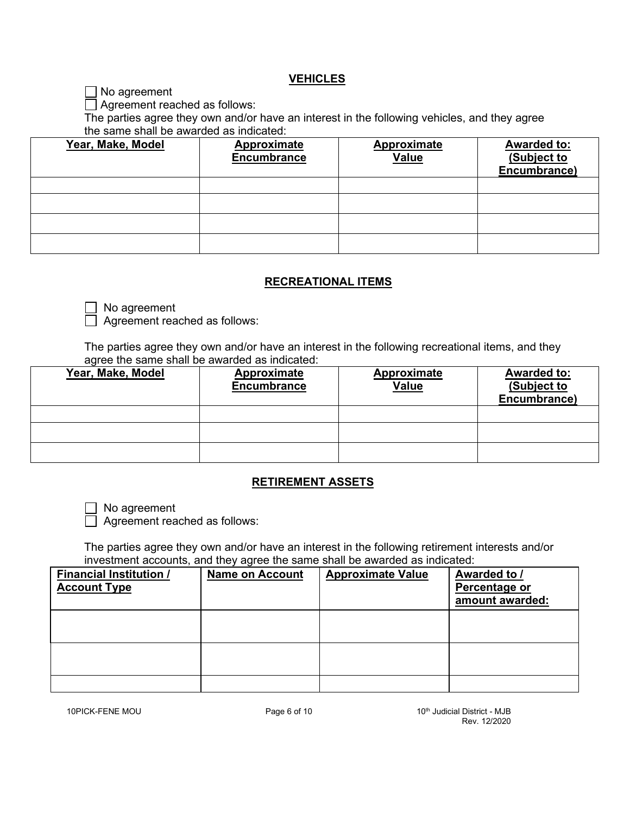### **VEHICLES**

■ No agreement

Agreement reached as follows:

The parties agree they own and/or have an interest in the following vehicles, and they agree the same shall be awarded as indicated:

| Year, Make, Model | <b>Approximate</b><br><b>Encumbrance</b> | <b>Approximate</b><br><b>Value</b> | <b>Awarded to:</b><br>(Subject to<br>Encumbrance) |
|-------------------|------------------------------------------|------------------------------------|---------------------------------------------------|
|                   |                                          |                                    |                                                   |
|                   |                                          |                                    |                                                   |
|                   |                                          |                                    |                                                   |
|                   |                                          |                                    |                                                   |

## **RECREATIONAL ITEMS**

No agreement

Agreement reached as follows:

The parties agree they own and/or have an interest in the following recreational items, and they agree the same shall be awarded as indicated:

| Year, Make, Model | <b>Approximate</b><br><b>Encumbrance</b> | <b>Approximate</b><br><b>Value</b> | <b>Awarded to:</b><br>(Subject to<br>Encumbrance) |
|-------------------|------------------------------------------|------------------------------------|---------------------------------------------------|
|                   |                                          |                                    |                                                   |
|                   |                                          |                                    |                                                   |
|                   |                                          |                                    |                                                   |

## **RETIREMENT ASSETS**

No agreement

Agreement reached as follows:

The parties agree they own and/or have an interest in the following retirement interests and/or investment accounts, and they agree the same shall be awarded as indicated:

| <b>Financial Institution /</b><br><b>Account Type</b> | <b>Name on Account</b> | <b>Approximate Value</b> | <b>Awarded to /</b><br>Percentage or<br>amount awarded: |
|-------------------------------------------------------|------------------------|--------------------------|---------------------------------------------------------|
|                                                       |                        |                          |                                                         |
|                                                       |                        |                          |                                                         |
|                                                       |                        |                          |                                                         |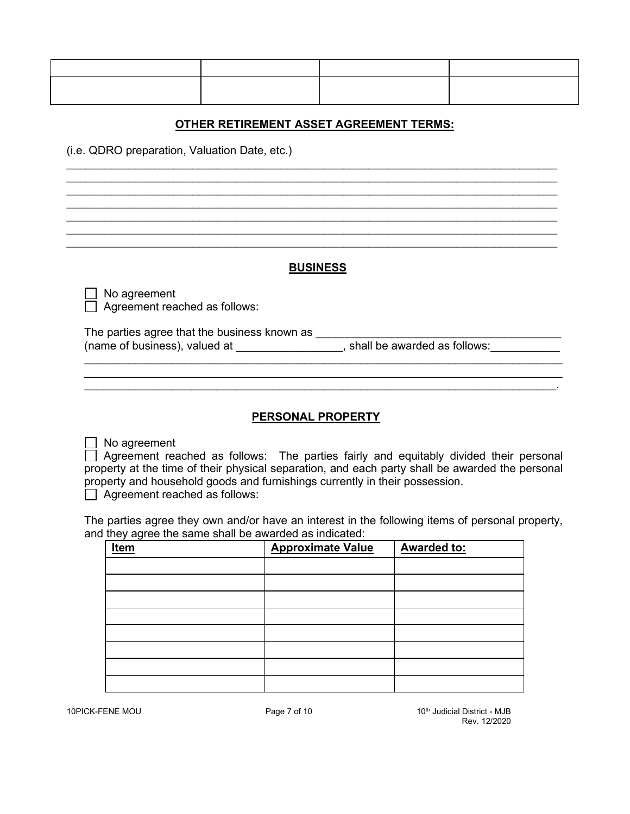# **OTHER RETIREMENT ASSET AGREEMENT TERMS:**

 $\_$  , and the set of the set of the set of the set of the set of the set of the set of the set of the set of the set of the set of the set of the set of the set of the set of the set of the set of the set of the set of th \_\_\_\_\_\_\_\_\_\_\_\_\_\_\_\_\_\_\_\_\_\_\_\_\_\_\_\_\_\_\_\_\_\_\_\_\_\_\_\_\_\_\_\_\_\_\_\_\_\_\_\_\_\_\_\_\_\_\_\_\_\_\_\_\_\_\_\_\_\_\_\_\_\_\_\_\_\_ \_\_\_\_\_\_\_\_\_\_\_\_\_\_\_\_\_\_\_\_\_\_\_\_\_\_\_\_\_\_\_\_\_\_\_\_\_\_\_\_\_\_\_\_\_\_\_\_\_\_\_\_\_\_\_\_\_\_\_\_\_\_\_\_\_\_\_\_\_\_\_\_\_\_\_\_\_\_  $\_$  , and the set of the set of the set of the set of the set of the set of the set of the set of the set of the set of the set of the set of the set of the set of the set of the set of the set of the set of the set of th  $\_$  , and the set of the set of the set of the set of the set of the set of the set of the set of the set of the set of the set of the set of the set of the set of the set of the set of the set of the set of the set of th \_\_\_\_\_\_\_\_\_\_\_\_\_\_\_\_\_\_\_\_\_\_\_\_\_\_\_\_\_\_\_\_\_\_\_\_\_\_\_\_\_\_\_\_\_\_\_\_\_\_\_\_\_\_\_\_\_\_\_\_\_\_\_\_\_\_\_\_\_\_\_\_\_\_\_\_\_\_

(i.e. QDRO preparation, Valuation Date, etc.)

#### **BUSINESS**

 $\Box$  No agreement  $\Box$  Agreement reached as follows:

The parties agree that the business known as \_\_\_\_\_\_\_\_\_\_\_\_\_\_\_\_\_\_\_\_\_\_\_\_\_\_\_\_\_\_\_\_\_\_\_\_\_\_\_ (name of business), valued at  $\_\_\_\_\_\_\_\_\_$ , shall be awarded as follows: $\_\_\_\_\_\_\_\_\_\_\_$ 

\_\_\_\_\_\_\_\_\_\_\_\_\_\_\_\_\_\_\_\_\_\_\_\_\_\_\_\_\_\_\_\_\_\_\_\_\_\_\_\_\_\_\_\_\_\_\_\_\_\_\_\_\_\_\_\_\_\_\_\_\_\_\_\_\_\_\_\_\_\_\_\_\_\_\_\_

## **PERSONAL PROPERTY**

 $\_$  , and the set of the set of the set of the set of the set of the set of the set of the set of the set of the set of the set of the set of the set of the set of the set of the set of the set of the set of the set of th

 $\Box$  No agreement

 $\Box$  Agreement reached as follows: The parties fairly and equitably divided their personal property at the time of their physical separation, and each party shall be awarded the personal property and household goods and furnishings currently in their possession.

 $\Box$  Agreement reached as follows:

The parties agree they own and/or have an interest in the following items of personal property, and they agree the same shall be awarded as indicated:

| <b>Item</b> | <b>Approximate Value</b> | <b>Awarded to:</b> |
|-------------|--------------------------|--------------------|
|             |                          |                    |
|             |                          |                    |
|             |                          |                    |
|             |                          |                    |
|             |                          |                    |
|             |                          |                    |
|             |                          |                    |
|             |                          |                    |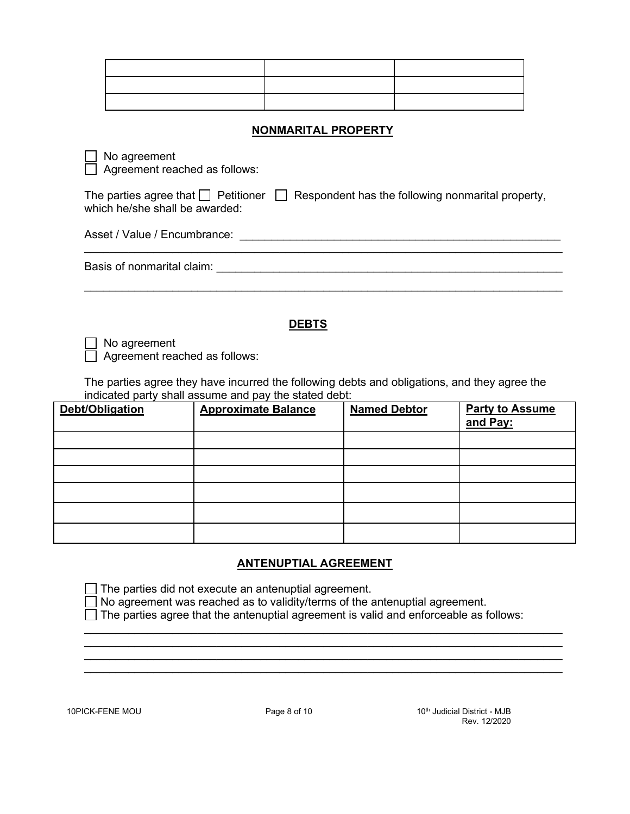#### **NONMARITAL PROPERTY**

No agreement

Agreement reached as follows:

The parties agree that  $\Box$  Petitioner  $\Box$  Respondent has the following nonmarital property, which he/she shall be awarded:

Asset / Value / Encumbrance: \_\_\_\_\_\_\_\_\_\_\_\_\_\_\_\_\_\_\_\_\_\_\_\_\_\_\_\_\_\_\_\_\_\_\_\_\_\_\_\_\_\_\_\_\_\_\_\_\_\_\_

Basis of nonmarital claim:

#### **DEBTS**

\_\_\_\_\_\_\_\_\_\_\_\_\_\_\_\_\_\_\_\_\_\_\_\_\_\_\_\_\_\_\_\_\_\_\_\_\_\_\_\_\_\_\_\_\_\_\_\_\_\_\_\_\_\_\_\_\_\_\_\_\_\_\_\_\_\_\_\_\_\_\_\_\_\_\_\_

No agreement

Agreement reached as follows:

The parties agree they have incurred the following debts and obligations, and they agree the indicated party shall assume and pay the stated debt:

| <b>Debt/Obligation</b> | <b>Approximate Balance</b> | <b>Named Debtor</b> | <b>Party to Assume</b><br>and Pay: |
|------------------------|----------------------------|---------------------|------------------------------------|
|                        |                            |                     |                                    |
|                        |                            |                     |                                    |
|                        |                            |                     |                                    |
|                        |                            |                     |                                    |
|                        |                            |                     |                                    |
|                        |                            |                     |                                    |

### **ANTENUPTIAL AGREEMENT**

 $\Box$  The parties did not execute an antenuptial agreement.

No agreement was reached as to validity/terms of the antenuptial agreement.

 $\Box$  The parties agree that the antenuptial agreement is valid and enforceable as follows:

\_\_\_\_\_\_\_\_\_\_\_\_\_\_\_\_\_\_\_\_\_\_\_\_\_\_\_\_\_\_\_\_\_\_\_\_\_\_\_\_\_\_\_\_\_\_\_\_\_\_\_\_\_\_\_\_\_\_\_\_\_\_\_\_\_\_\_\_\_\_\_\_\_\_\_\_ \_\_\_\_\_\_\_\_\_\_\_\_\_\_\_\_\_\_\_\_\_\_\_\_\_\_\_\_\_\_\_\_\_\_\_\_\_\_\_\_\_\_\_\_\_\_\_\_\_\_\_\_\_\_\_\_\_\_\_\_\_\_\_\_\_\_\_\_\_\_\_\_\_\_\_\_ \_\_\_\_\_\_\_\_\_\_\_\_\_\_\_\_\_\_\_\_\_\_\_\_\_\_\_\_\_\_\_\_\_\_\_\_\_\_\_\_\_\_\_\_\_\_\_\_\_\_\_\_\_\_\_\_\_\_\_\_\_\_\_\_\_\_\_\_\_\_\_\_\_\_\_\_ \_\_\_\_\_\_\_\_\_\_\_\_\_\_\_\_\_\_\_\_\_\_\_\_\_\_\_\_\_\_\_\_\_\_\_\_\_\_\_\_\_\_\_\_\_\_\_\_\_\_\_\_\_\_\_\_\_\_\_\_\_\_\_\_\_\_\_\_\_\_\_\_\_\_\_\_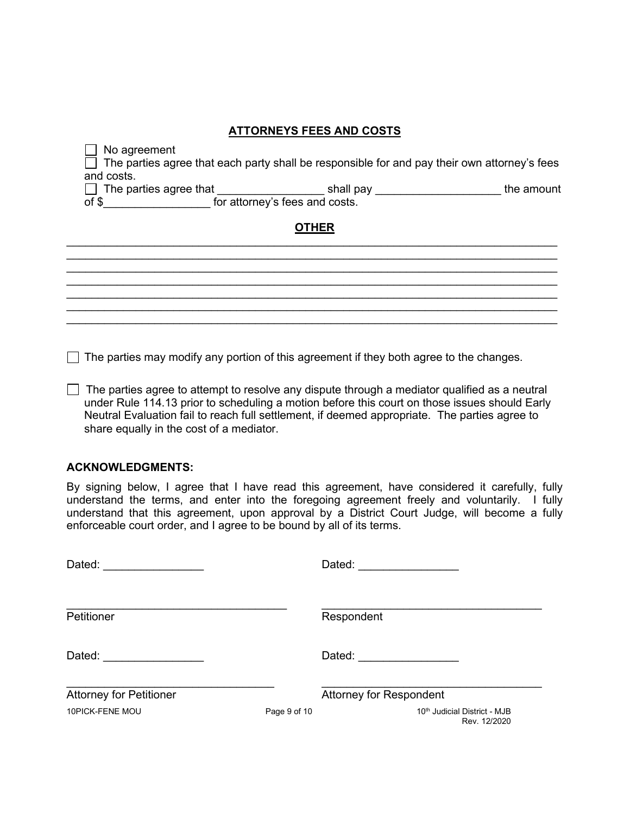# **ATTORNEYS FEES AND COSTS**

 $\Box$  No agreement  $\Box$  The parties agree that each party shall be responsible for and pay their own attorney's fees and costs.  $\Box$  The parties agree that \_\_\_\_\_\_\_\_\_\_\_\_\_\_\_\_\_\_\_\_ shall pay \_\_\_\_\_\_\_\_\_\_\_\_\_\_\_\_\_\_\_\_\_\_\_\_\_ the amount of \$ for attorney's fees and costs.

### **OTHER**  $\_$  , and the set of the set of the set of the set of the set of the set of the set of the set of the set of the set of the set of the set of the set of the set of the set of the set of the set of the set of the set of th

 $\_$  , and the set of the set of the set of the set of the set of the set of the set of the set of the set of the set of the set of the set of the set of the set of the set of the set of the set of the set of the set of th

\_\_\_\_\_\_\_\_\_\_\_\_\_\_\_\_\_\_\_\_\_\_\_\_\_\_\_\_\_\_\_\_\_\_\_\_\_\_\_\_\_\_\_\_\_\_\_\_\_\_\_\_\_\_\_\_\_\_\_\_\_\_\_\_\_\_\_\_\_\_\_\_\_\_\_\_\_\_ \_\_\_\_\_\_\_\_\_\_\_\_\_\_\_\_\_\_\_\_\_\_\_\_\_\_\_\_\_\_\_\_\_\_\_\_\_\_\_\_\_\_\_\_\_\_\_\_\_\_\_\_\_\_\_\_\_\_\_\_\_\_\_\_\_\_\_\_\_\_\_\_\_\_\_\_\_\_  $\_$  , and the set of the set of the set of the set of the set of the set of the set of the set of the set of the set of the set of the set of the set of the set of the set of the set of the set of the set of the set of th  $\_$  , and the set of the set of the set of the set of the set of the set of the set of the set of the set of the set of the set of the set of the set of the set of the set of the set of the set of the set of the set of th \_\_\_\_\_\_\_\_\_\_\_\_\_\_\_\_\_\_\_\_\_\_\_\_\_\_\_\_\_\_\_\_\_\_\_\_\_\_\_\_\_\_\_\_\_\_\_\_\_\_\_\_\_\_\_\_\_\_\_\_\_\_\_\_\_\_\_\_\_\_\_\_\_\_\_\_\_\_

 $\Box$  The parties may modify any portion of this agreement if they both agree to the changes.

□ The parties agree to attempt to resolve any dispute through a mediator qualified as a neutral under Rule 114.13 prior to scheduling a motion before this court on those issues should Early Neutral Evaluation fail to reach full settlement, if deemed appropriate. The parties agree to share equally in the cost of a mediator.

#### **ACKNOWLEDGMENTS:**

By signing below, I agree that I have read this agreement, have considered it carefully, fully understand the terms, and enter into the foregoing agreement freely and voluntarily. I fully understand that this agreement, upon approval by a District Court Judge, will become a fully enforceable court order, and I agree to be bound by all of its terms.

| Dated:                         |              | Dated:                                                   |
|--------------------------------|--------------|----------------------------------------------------------|
| Petitioner                     |              | Respondent                                               |
| Dated:                         |              | Dated:                                                   |
| <b>Attorney for Petitioner</b> |              | <b>Attorney for Respondent</b>                           |
| 10PICK-FENE MOU                | Page 9 of 10 | 10 <sup>th</sup> Judicial District - MJB<br>Rev. 12/2020 |